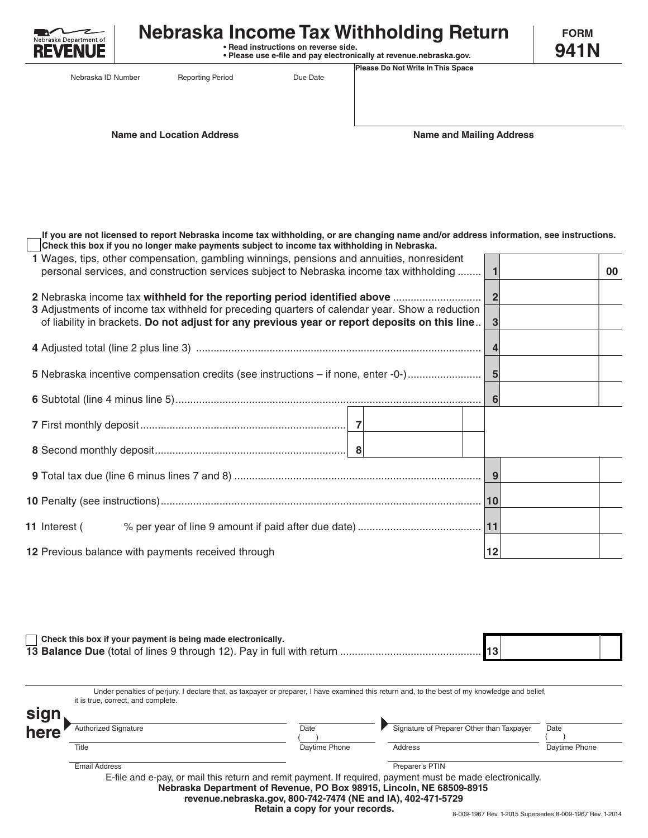

## **Nebraska Income Tax Withholding Return**

 **• Read instructions on reverse side. • Please use e-file and pay electronically at revenue.nebraska.gov.**

**FORM 941N**

Nebraska ID Number

Reporting Period Due Date

**Name and Location Address Name and Mailing Address**

**Please Do Not Write In This Space**

**Check this box if you no longer make payments subject to income tax withholding in Nebraska. If you are not licensed to report Nebraska income tax withholding, or are changing name and/or address information, see instructions.**

| 1 Wages, tips, other compensation, gambling winnings, pensions and annuities, nonresident<br>personal services, and construction services subject to Nebraska income tax withholding |                | 00 |
|--------------------------------------------------------------------------------------------------------------------------------------------------------------------------------------|----------------|----|
| 3 Adjustments of income tax withheld for preceding quarters of calendar year. Show a reduction                                                                                       | $\overline{2}$ |    |
| of liability in brackets. Do not adjust for any previous year or report deposits on this line                                                                                        |                |    |
|                                                                                                                                                                                      |                |    |
|                                                                                                                                                                                      |                |    |
|                                                                                                                                                                                      | 6              |    |
|                                                                                                                                                                                      |                |    |
|                                                                                                                                                                                      |                |    |
|                                                                                                                                                                                      |                |    |
|                                                                                                                                                                                      | 10             |    |
|                                                                                                                                                                                      |                |    |
| 12 Previous balance with payments received through                                                                                                                                   | 12             |    |
|                                                                                                                                                                                      |                |    |

| Check this box if your payment is being made electronically. |  |  |
|--------------------------------------------------------------|--|--|
|                                                              |  |  |

E-file and e-pay, or mail this return and remit payment. If required, payment must be made electronically. **Nebraska Department of Revenue, PO Box 98915, Lincoln, NE 68509-8915** Under penalties of perjury, I declare that, as taxpayer or preparer, I have examined this return and, to the best of my knowledge and belief, it is true, correct, and complete. **sign here** Authorized Signature Date Date Signature of Preparer Other than Taxpayer Date Title **Example 20 Transformation** Daytime Phone **Daytime Phone Address Daytime Phone** Daytime Phone Email Address **Preparer's PTIN** ( ) **revenue.nebraska.gov, 800-742-7474 (NE and IA), 402-471-5729** ( )

**Retain a copy for your records.**